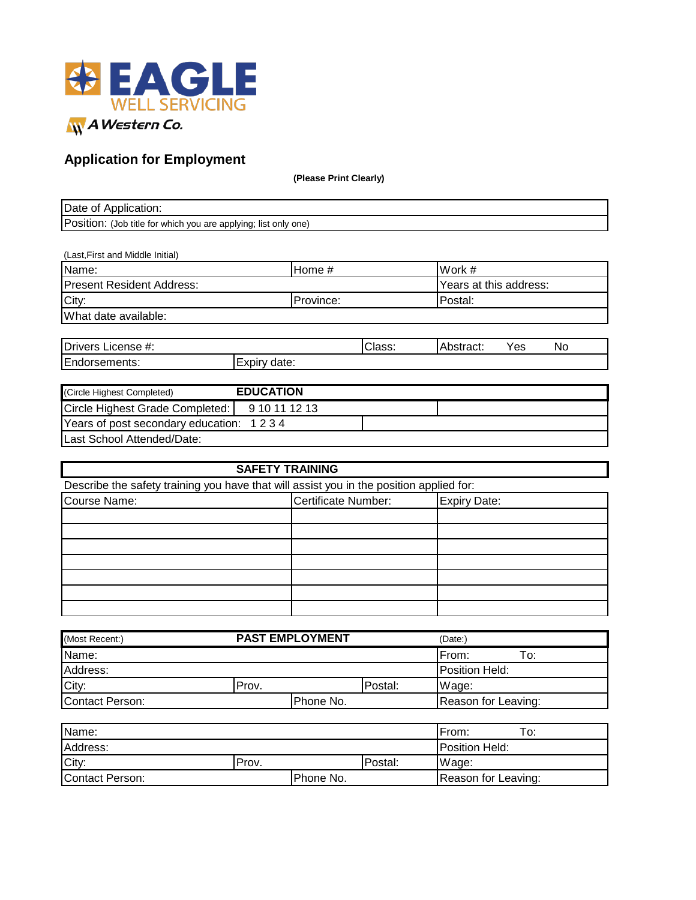

## **Application for Employment**

**(Please Print Clearly)**

| Date of Application:                                                 |  |
|----------------------------------------------------------------------|--|
| Position:<br>. (Job title for which you are applying; list only one) |  |

| (Last, First and Middle Initial) |           |                        |
|----------------------------------|-----------|------------------------|
| Name:                            | IHome #   | Work #                 |
| <b>Present Resident Address:</b> |           | Years at this address: |
| City:                            | Province: | lPostal:               |
| What date available:             |           |                        |
|                                  |           |                        |

| <b>Drivers</b><br>License #: |                 | Class: | hetra <i>r</i> t:<br>asudu. ⊺ | Yes | <b>No</b> |
|------------------------------|-----------------|--------|-------------------------------|-----|-----------|
| Endorsements:                | date:<br>EXDIIV |        |                               |     |           |
|                              |                 |        |                               |     |           |

| (Circle Highest Completed)              | <b>EDUCATION</b> |  |
|-----------------------------------------|------------------|--|
| Circle Highest Grade Completed:         | 9 10 11 12 13    |  |
| Years of post secondary education: 1234 |                  |  |
| Last School Attended/Date:              |                  |  |

| <b>SAFETY TRAINING</b>                                                                  |                     |  |  |  |  |
|-----------------------------------------------------------------------------------------|---------------------|--|--|--|--|
| Describe the safety training you have that will assist you in the position applied for: |                     |  |  |  |  |
| Course Name:                                                                            | <b>Expiry Date:</b> |  |  |  |  |
|                                                                                         |                     |  |  |  |  |
|                                                                                         |                     |  |  |  |  |
|                                                                                         |                     |  |  |  |  |
|                                                                                         |                     |  |  |  |  |
|                                                                                         |                     |  |  |  |  |
|                                                                                         |                     |  |  |  |  |
|                                                                                         |                     |  |  |  |  |

| (Most Recent:)  | <b>PAST EMPLOYMENT</b> |           |         | (Date:)                |  |  |
|-----------------|------------------------|-----------|---------|------------------------|--|--|
| Name:           |                        |           |         | From:<br>To:           |  |  |
| Address:        |                        |           |         | <b>IPosition Held:</b> |  |  |
| City:           | Prov.                  |           | Postal: | Wage:                  |  |  |
| Contact Person: |                        | Phone No. |         | Reason for Leaving:    |  |  |

| Name:           |       |           |         | From:               | ⊤о: |
|-----------------|-------|-----------|---------|---------------------|-----|
| Address:        |       |           |         | Position Held:      |     |
| City:           | Prov. |           | Postal: | Wage:               |     |
| Contact Person: |       | Phone No. |         | Reason for Leaving: |     |